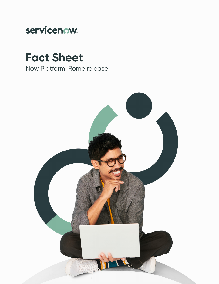

# **Fact Sheet**

Now Platform® Rome release

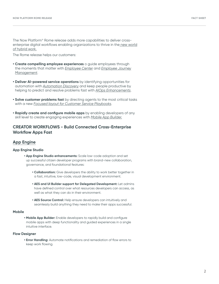The Now Platform® Rome release adds more capabilities to deliver crossenterprise digital workflows enabling organizations to thrive in the new world of hybrid work.

The Rome release helps our customers:

- **Create compelling employee experiences** o guide employees through the moments that matter with *Employee Center* and *Employee Journey Management*.
- **Deliver AI-powered service operations** by identifying opportunities for automation with *Automation Discovery* and keep people productive by helping to predict and resolve problems fast with *AIOps Enhancements*.
- **Solve customer problems fast** by directing agents to the most critical tasks with a new *Focused layout for Customer Service Playbooks*.
- **Rapidly create and configure mobile apps** by enabling developers of any skill level to create engaging experiences with *Mobile App Builder.*

## **CREATOR WORKFLOWS - Build Connected Cross-Enterprise Workflow Apps Fast**

#### **App Engine**

#### **App Engine Studio**

- **App Engine Studio enhancements:** Scale low-code adoption and set up successful citizen developer programs with brand-new collaboration, governance, and foundational features:
	- **Collaboration:** Give developers the ability to work better together in a fast, intuitive, low-code, visual development environment.
	- **AES and UI Builder support for Delegated Development:** Let admins have defined control over what resources developers can access, as well as what they can do in their environment.
	- **AES Source Control:** Help ensure developers can intuitively and seamlessly build anything they need to make their apps successful.

#### **Mobile**

**• Mobile App Builder:** Enable developers to rapidly build and configure mobile apps with deep functionality and guided experiences in a single intuitive interface.

#### **Flow Designer**

**• Error Handling:** Automate notifications and remediation of flow errors to keep work flowing.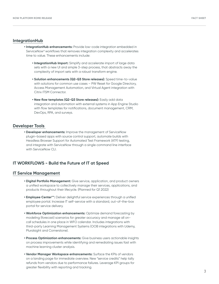#### **IntegrationHub**

- **IntegrationHub enhancements:** Provide low-code integration embedded in ServiceNow® workflows that removes integration complexity and accelerates time to value. These enhancements include:
	- **IntegrationHub Import:** Simplify and accelerate import of large data sets with a new UI and simple 3-step process, that abstracts away the complexity of import sets with a robust transform engine.
	- **Solution enhancements (Q2-Q3 Store releases):** Speed time-to-value with solutions for common use cases – PW Reset for Google Directory, Access Management Automation, and Virtual Agent integration with Citrix ITSM Connector.
	- **New flow templates (Q2-Q3 Store releases):** Easily add data integration and automation with external systems in App Engine Studio with flow templates for notifications, document management, CRM, DevOps, RPA, and surveys.

#### **Developer Tools**

**• Developer enhancements:** Improve the management of ServiceNow plugin-based apps with source control support, automate builds with Headless Browser Support for Automated Test Framework (ATF) testing, and integrate with ServiceNow through a single command line interface with ServiceNow CLL

## **IT WORKFLOWS - Build the Future of IT at Speed**

#### **IT Service Management**

- **Digital Portfolio Management:** Give service, application, and product owners a unified workspace to collectively manage their services, applications, and products throughout their lifecycle. (Planned for Q1 2022)
- **Employee Center\*\*:** Deliver delightful service experiences through a unified employee portal. Increase IT self-service with a standard, out-of-the-box portal for service delivery.
- **Workforce Optimization enhancements:** Optimize demand forecasting by modeling (forecast) scenarios for greater accuracy and manage all oncall schedules in one place in WFO calendar. Includes integrations with third-party Learning Management Systems (OOB integrations with Udemy, Pluralsight and Cornerstone).
- **Process Optimization enhancements:** Give business users actionable insights on process improvements while identifying and remediating issues fast with machine learning cluster analysis.
- **Vendor Manager Workspace enhancements:** Surface the KPIs of vendors on a landing page for immediate overview. New "service credits" help tally refunds from vendors due to performance failures. Leverage KPI groups for greater flexibility with reporting and tracking.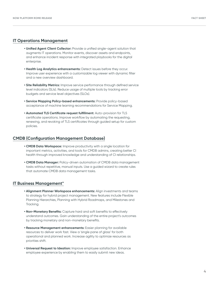#### **IT Operations Management**

- **Unified Agent Client Collector:** Provide a unified single-agent solution that augments IT operations. Monitor events, discover assets and endpoints, and enhance incident response with integrated playbooks for the digital enterprise.
- **Health Log Analytics enhancements:** Detect issues before they occur. Improve user experience with a customizable log viewer with dynamic filter and a new overview dashboard.
- **Site Reliability Metrics:** Improve service performance through defined service level indicators (SLIs). Reduce usage of multiple tools by tracking error budgets and service level objectives (SLOs).
- **Service Mapping Policy-based enhancements:** Provide policy-based acceptance of machine learning recommendations for Service Mapping.
- **Automated TLS Certificate request fulfillment:** Auto-provision for TLS certificate operations. Improve workflow by automating the requesting, renewing, and revoking of TLS certificates through guided setup for custom policies.

#### **CMDB (Configuration Management Database)**

- **CMDB Data Workspace:** Improve productivity with a single location for important metrics, activities, and tools for CMDB admins, creating better CI health through improved knowledge and understanding of CI relationships.
- **CMDB Data Manager:** Policy-driven automation of CMDB data management tasks without repetitive, manual inputs. Use a guided wizard to create rules that automate CMDB data management tasks.

## **IT Business Management\***

- **Alignment Planner Workspace enhancements:** Align investments and teams to strategy for hybrid project management. New features include Flexible Planning Hierarchies, Planning with Hybrid Roadmaps, and Milestones and Tracking.
- **Non-Monetary Benefits:** Capture hard and soft benefits to effectively understand outcomes. Gain understanding of the entire project's outcomes by tracking monetary and non-monetary benefits.
- **Resource Management enhancements:** Easier planning for available resources to deliver work fast. View a 'single pane of glass' for both operational and planned work. Increase agility to optimize resources as priorities shift.
- **Universal Request to Ideation:** Improve employee satisfaction. Enhance employee experience by enabling them to easily submit new ideas.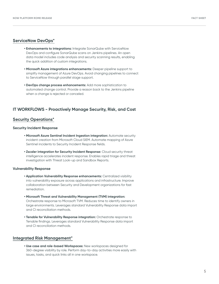#### **ServiceNow DevOps\***

- **Enhancements to integrations:** Integrate SonarQube with ServiceNow DevOps and configure SonarQube scans on Jenkins pipelines. An open data model includes code analysis and security scanning results, enabling the quick addition of custom integrations.
- **Microsoft Azure integrations enhancements:** Deeper pipeline support to simplify management of Azure DevOps. Avoid changing pipelines to connect to ServiceNow through parallel stage support.
- **DevOps change process enhancements:** Add more sophistication to automated change control. Provide a reason back to the Jenkins pipeline when a change is rejected or canceled.

## **IT WORKFLOWS - Proactively Manage Security, Risk, and Cost**

#### **Security Operations\***

#### **Security Incident Response**

- **Microsoft Azure Sentinel Incident Ingestion integration:** Automate security incident creation from Microsoft Cloud SIEM. Automate mapping of Azure Sentinel incidents to Security Incident Response fields.
- **Zscaler integration for Security Incident Response:** Cloud security threat intelligence accelerates incident response. Enables rapid triage and threat investigation with Threat Look-up and Sandbox Reports.

#### **Vulnerability Response**

- **Application Vulnerability Response enhancements:** Centralized visibility into vulnerability exposure across applications and infrastructure. Improve collaboration between Security and Development organizations for fast remediation.
- **Microsoft Threat and Vulnerability Management (TVM) integration:**  Orchestrate response to Microsoft TVM. Reduces time to identify owners in large environments. Leverages standard Vulnerability Response data import and CI reconciliation methods.
- **Tenable for Vulnerability Response integration:** Orchestrate response to Tenable findings. Leverages standard Vulnerability Response data import and CI reconciliation methods.

#### **Integrated Risk Management\***

**• Use case and role-based Workspaces:** New workspaces designed for 360-degree visibility by role. Perform day-to-day activities more easily with issues, tasks, and quick links all in one workspace.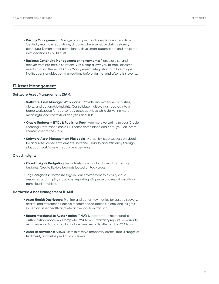- **Privacy Management:** Manage privacy risk and compliance in real-time. Centrally maintain regulations, discover where sensitive data is stored, continuously monitor for compliance, drive smart automation, and make the best decisions to build trust.
- **Business Continuity Management enhancements:** Plan, exercise, and recover from business disruptions. Crisis Map allows you to track disaster events around the world. Crisis Management integration with Everbridge Notifications enables communications before, during, and after crisis events.

## **IT Asset Management**

#### **Software Asset Management (SAM)**

- **Software Asset Manager Workspace:** Provide recommended activities, alerts, and actionable insights. Consolidate multiple dashboards into a better workspace for day-to-day asset activities while delivering more meaningful and contextual analytics and KPIs.
- **Oracle Updates BYOL & Publisher Pack**: Add more versatility to your Oracle licensing. Determine Oracle DB license compliance and carry your on-prem licenses over to the cloud.
- **Software Asset Management Playbooks:** A step-by-step success playbook for accurate license entitlements. Increase usability and efficiency through playbook workflows – creating entitlements.

#### **Cloud Insights**

- **Cloud Insights Budgeting:** Proactively monitor cloud spend by creating budgets. Create flexible budgets based on tag values.
- **Tag Categories:** Normalize tags in your environment to classify cloud resources and simplify cloud cost reporting. Organize and report on billings from cloud providers.

#### **Hardware Asset Management (HAM)**

- **Asset Health Dashboard:** Monitor and act on key metrics for asset discovery, health, and retirement. Receive recommended actions, alerts, and insights based on asset health and interactive location tracking.
- **Return Merchandise Authorization (RMA):** Support return merchandise authorization workflows. Complete RMA tasks – warranty repairs or warranty replacements. Automatically update asset records affected by RMA tasks.
- **Asset Reservations:** Allows users to reserve temporary assets, tracks stages of fulfillment, and helps predict stock levels.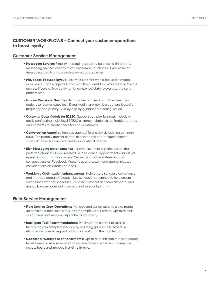## **CUSTOMER WORKFLOWS - Connect your customer operations to boost loyalty**

#### **Customer Service Management**

- **Messaging Service:** Simplify messaging setup by purchasing third-party messaging services directly from ServiceNow. Purchase a fixed value of messaging credits at favorable pre-negotiated rates.
- **Playbooks: Focused layout:** Resolve issues fast with a focused playbook experience. Enable agents to focus on the current task while viewing the full process lifecycle. Display dynamic, contextual data relevant to the current process step.
- **Guided Decisions: Next Best Actions**: Recommend prioritized next best actions to resolve issues fast. Dynamically rank next best actions based on frequency and priority. Quickly deploy guidance via configuration.
- **Customer Data Models for B2B2C:** Support complex business models by easily configuring multi-level B2B2C customer relationships. Enable partners and contacts to create cases for end-consumers.
- **Conversation Autopilot:** Improve agent efficiency by delegating common tasks. Temporarily transfer control of chat to the Virtual Agent. Monitor chatbot conversations and take back control if needed.
- **Rich Messaging enhancements:** Improve customer experiences on their preferred channels. Book, reschedule, and cancel appointments via Virtual Agent on portal or Engagement Messenger. Enable system-initiated conversations on Facebook Messenger, and system and agent-initiated conversations on WhatsApp and LINE.
- **Workforce Optimization enhancements:** Help ensure schedule compliance and manage demand forecast. Use schedule adherence to help ensure compliance with set schedules. Visualize historical and forecast data, and manually adjust demand forecasts and select algorithms.

#### **Field Service Management**

- **Field Service Crew Operations:** Manage and assign tasks to crews made up of multiple technicians to support complex work orders. Optimize task assignment and improve dispatcher productivity.
- **Intelligent Task Recommendations:** Maximize the number of tasks a technician can complete per day by reducing gaps in their schedule. Allow technicians to request additional work from the mobile app.
- **Dispatcher Workspace enhancements:** Optimize technician routes to reduce travel time and maximize productive time. Schedule fieldwork based on access hours and improve first-time fix rate.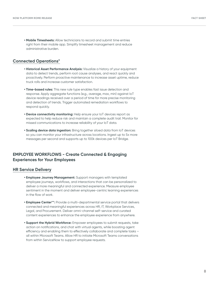**• Mobile Timesheets:** Allow technicians to record and submit time entries right from their mobile app. Simplify timesheet management and reduce administrative burden.

## **Connected Operations\***

- **Historical Asset Performance Analysis:** Visualize a history of your equipment data to detect trends, perform root cause analyses, and react quickly and proactively. Perform proactive maintenance to increase asset uptime, reduce truck rolls and increase customer satisfaction.
- **Time-based rules:** This new rule type enables fast issue detection and response. Apply aggregate functions (e.g., average, max, min) against IoT device readings received over a period of time for more precise monitoring and detection of trends. Trigger automated remediation workflows to respond quickly.
- **Device connectivity monitoring:** Help ensure your IoT devices report as expected to help reduce risk and maintain a complete audit trail. Monitor for missed communications to increase reliability of your IoT data.
- **Scaling device data ingestion:** Bring together siloed data from IoT devices so you can monitor your infrastructure across locations. Ingest up to 5x more messages per second and supports up to 100k devices per IoT Bridge.

## **EMPLOYEE WORKFLOWS - Create Connected & Engaging Experiences for Your Employees**

## **HR Service Delivery**

- **Employee Journey Management:** Support managers with templated employee journeys, workflows, and interactions that can be personalized to deliver a more meaningful and connected experience. Measure employee sentiment in the moment and deliver employee-centric learning experiences in the flow of work.
- **Employee Center\*\*:** Provide a multi-departmental service portal that delivers connected and meaningful experiences across HR, IT, Workplace Services, Legal, and Procurement. Deliver omni-channel self-service and curated content experiences to enhance the employee experience from anywhere.
- **Support the Hybrid Workforce:** Empower employees to submit requests, take action on notifications, and chat with virtual agents, while boosting agent efficiency and enabling them to effectively collaborate and complete tasks – all within Microsoft Teams. Allow HR to initiate Microsoft Teams conversations from within ServiceNow to support employee requests.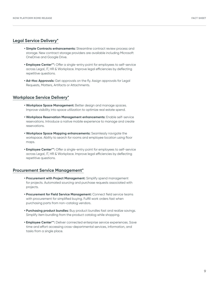#### **FACT SHEET**

## **Legal Service Delivery\***

- **Simple Contracts enhancements:** Streamline contract review process and storage. New contract storage providers are available including Microsoft OneDrive and Google Drive.
- **Employee Center\*\*:** Offer a single-entry point for employees to self-service across Legal, IT, HR & Workplace. Improve legal efficiencies by deflecting repetitive questions.
- **Ad-Hoc Approvals:** Get approvals on the fly. Assign approvals for Legal Requests, Matters, Artifacts or Attachments.

## **Workplace Service Delivery\***

- **Workplace Space Management:** Better design and manage spaces. Improve visibility into space utilization to optimize real estate spend.
- **Workplace Reservation Management enhancements:** Enable self-service reservations. Introduce a native mobile experience to manage and create reservations.
- **Workplace Space Mapping enhancements:** Seamlessly navigate the workspace. Ability to search for rooms and employee location using floor maps.
- **Employee Center\*\*:** Offer a single-entry point for employees to self-service across Legal, IT, HR & Workplace. Improve legal efficiencies by deflecting repetitive questions.

## **Procurement Service Management\***

- **Procurement with Project Management:** Simplify spend management for projects. Automated sourcing and purchase requests associated with projects.
- **Procurement for Field Service Management:** Connect field service teams with procurement for simplified buying. Fulfill work orders fast when purchasing parts from non-catalog vendors.
- **Purchasing product bundles:** Buy product bundles fast and realize savings. Simplify item bundling from the product catalog while shopping.
- **Employee Center\*\*:** Deliver connected enterprise service experiences. Save time and effort accessing cross-departmental services, information, and tasks from a single place.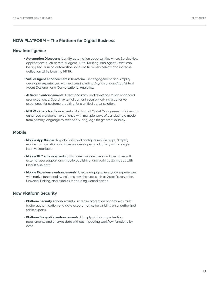## **NOW PLATFORM – The Platform for Digital Business**

#### **Now Intelligence**

- **Automation Discovery:** Identify automation opportunities where ServiceNow applications, such as Virtual Agent, Auto-Routing, and Agent Assist, can be applied. Turn on automation solutions from ServiceNow and increase deflection while lowering MTTR.
- **Virtual Agent enhancements:** Transform user engagement and simplify developer experiences with features including Asynchronous Chat, Virtual Agent Designer, and Conversational Analytics.
- **AI Search enhancements:** Great accuracy and relevancy for an enhanced user experience. Search external content securely, driving a cohesive experience for customers looking for a unified portal solution.
- **NLU Workbench enhancements:** Multilingual Model Management delivers an enhanced workbench experience with multiple ways of translating a model from primary language to secondary language for greater flexibility.

## **Mobile**

- **Mobile App Builder:** Rapidly build and configure mobile apps. Simplify mobile configuration and increase developer productivity with a single intuitive interface.
- **Mobile B2C enhancements:** Unlock new mobile users and use cases with external user support and mobile publishing, and build custom apps with Mobile SDK beta.
- **Mobile Experience enhancements:** Create engaging everyday experiences with native functionality. Includes new features such as Asset Reservation, Universal Linking, and Mobile Onboarding Consolidation.

## **Now Platform Security**

- **Platform Security enhancements:** Increase protection of data with multifactor authentication and data export metrics for visibility on unauthorized table exports.
- **Platform Encryption enhancements:** Comply with data protection requirements and encrypt data without impacting workflow functionality data.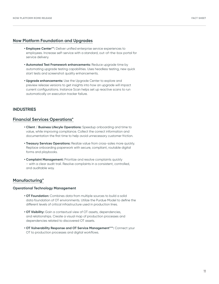## **Now Platform Foundation and Upgrades**

- **Employee Center\*\*:** Deliver unified enterprise service experiences to employees. Increase self-service with a standard, out-of-the-box portal for service delivery.
- **Automated Test Framework enhancements:** Reduce upgrade time by automating upgrade testing capabilities. Uses headless testing, new quick start tests and screenshot quality enhancements.
- **Upgrade enhancements:** Use the Upgrade Center to explore and preview release versions to get insights into how an upgrade will impact current configurations. Instance Scan helps set up reactive scans to run automatically on execution tracker failure.

## **INDUSTRIES**

#### **Financial Services Operations\***

- **Client / Business Lifecyle Operations:** Speedup onboarding and time to value, while improving compliance. Collect the correct information and documentation the first time to help avoid unnecessary customer friction.
- **Treasury Services Operations:** Realize value from cross-sales more quickly. Replace onboarding paperwork with secure, compliant, routable digital forms and playbooks.
- **Complaint Management:** Prioritize and resolve complaints quickly – with a clear audit trail. Resolve complaints in a consistent, controlled, and auditable way.

#### **Manufacturing\***

#### **Operational Technology Management**

- **OT Foundation:** Combines data from multiple sources to build a solid data foundation of OT environments. Utilize the Purdue Model to define the different levels of critical infrastructure used in production lines.
- **OT Visibility:** Gain a contextual view of OT assets, dependencies, and relationships. Create a visual map of production processes and dependencies related to discovered OT assets.
- **OT Vulnerability Response and OT Service Management\*\*\*:** Connect your OT to production processes and digital workflows.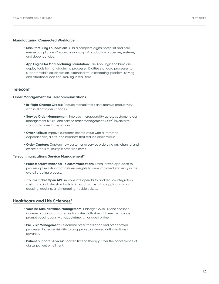#### **Manufacturing Connected Workforce**

- **Manufacturing Foundation:** Build a complete digital footprint and help ensure compliance. Create a visual map of production processes, systems, and dependencies.
- **App Engine for Manufacturing Foundation:** Use App Engine to build and deploy tools for manufacturing processes. Digitize standard processes to support mobile collaboration, extended troubleshooting, problem-solving, and situational decision-making in real-time.

#### **Telecom\***

#### **Order Management for Telecommunications**

- **In-flight Change Orders:** Reduce manual tasks and improve productivity with in-flight order changes.
- **Service Order Management:** Improve interoperability across customer order management (COM) and service order management (SOM) layers with standards-based integrations.
- **Order Fallout:** Improve customer lifetime value with automated dependencies, alerts, and handoffs that reduce order fallout.
- **Order Capture:** Capture new customer or service orders via any channel and create orders for multiple order line items.

#### **Telecommunications Service Management\***

- **Process Optimization for Telecommunications:** Data-driven approach to process optimization that delivers insights to drive improved efficiency in the overall ordering process.
- **Trouble Ticket Open API:** Improve interoperability and reduce integration costs using industry standards to interact with existing applications for creating, tracking, and managing trouble tickets.

## **Healthcare and Life Sciences\***

- **Vaccine Administration Management:** Manage Covid-19 and seasonal influenza vaccinations at scale for patients that want them. Encourage prompt vaccinations with appointment managed online.
- **Pre-Visit Management:** Streamline preauthorization and preapproval processes. Increase visibility to unapproved or denied authorizations in advance.
- **Patient Support Services:** Shorten time to therapy. Offer the convenience of digital patient enrollment.